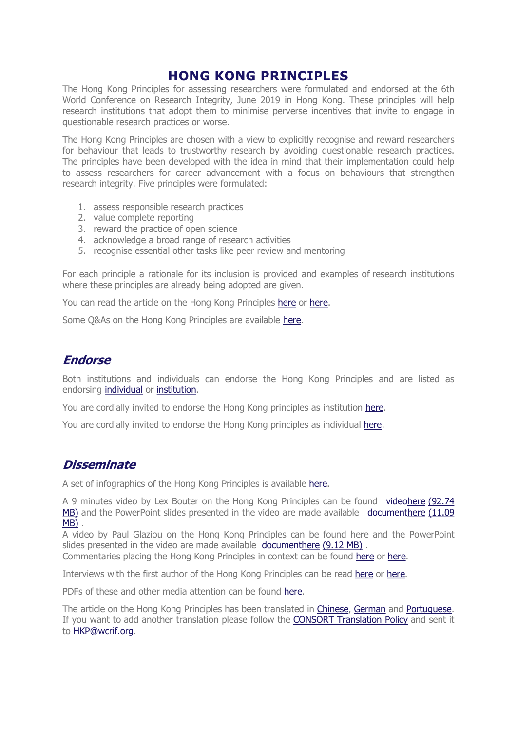## HONG KONG PRINCIPLES

The Hong Kong Principles for assessing researchers were formulated and endorsed at the 6th World Conference on Research Integrity, June 2019 in Hong Kong. These principles will help research institutions that adopt them to minimise perverse incentives that invite to engage in questionable research practices or worse.

The Hong Kong Principles are chosen with a view to explicitly recognise and reward researchers for behaviour that leads to trustworthy research by avoiding questionable research practices. The principles have been developed with the idea in mind that their implementation could help to assess researchers for career advancement with a focus on behaviours that strengthen research integrity. Five principles were formulated:

- 1. assess responsible research practices
- 2. value complete reporting
- 3. reward the practice of open science
- 4. acknowledge a broad range of research activities
- 5. recognise essential other tasks like peer review and mentoring

For each principle a rationale for its inclusion is provided and examples of research institutions where these principles are already being adopted are given.

You can read the article on the Hong Kong Principles here or here.

Some Q&As on the Hong Kong Principles are available here.

## Endorse

Both institutions and individuals can endorse the Hong Kong Principles and are listed as endorsing individual or institution.

You are cordially invited to endorse the Hong Kong principles as institution here.

You are cordially invited to endorse the Hong Kong principles as individual here.

## **Disseminate**

A set of infographics of the Hong Kong Principles is available here.

A 9 minutes video by Lex Bouter on the Hong Kong Principles can be found videohere (92.74 MB) and the PowerPoint slides presented in the video are made available documenthere (11.09 MB) .

A video by Paul Glaziou on the Hong Kong Principles can be found here and the PowerPoint slides presented in the video are made available documenthere (9.12 MB).

Commentaries placing the Hong Kong Principles in context can be found here or here.

Interviews with the first author of the Hong Kong Principles can be read here or here.

PDFs of these and other media attention can be found here.

The article on the Hong Kong Principles has been translated in Chinese, German and Portuguese. If you want to add another translation please follow the CONSORT Translation Policy and sent it to HKP@wcrif.org.